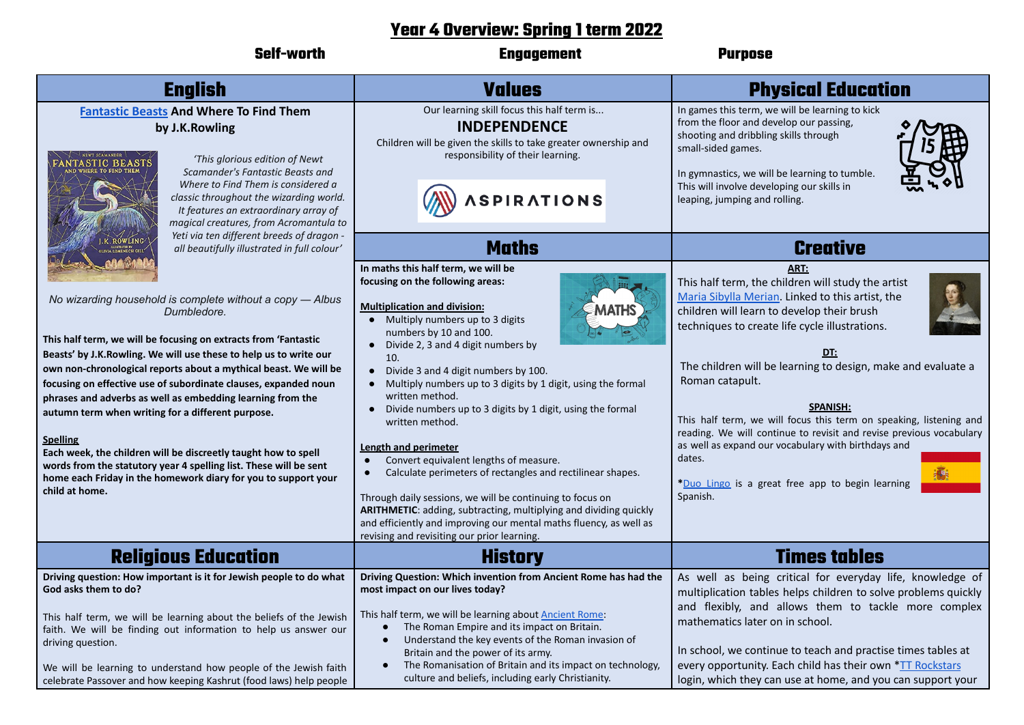## **Year 4 Overview: Spring 1 term 2022**

| <b>Self-worth</b>                                                                                                                                                                                                                                                                                                                                                                                                                                                                                                                                                                                                                                                                                                         | <b>Engagement</b>                                                                                                                                                                                                                                                                                                                                                                                                                                                                                                                                                                                                                                                                                                                                                                                                                                                  | <b>Purpose</b>                                                                                                                                                                                                                                                                                                                                                                                                                                                                                                                                                                                            |
|---------------------------------------------------------------------------------------------------------------------------------------------------------------------------------------------------------------------------------------------------------------------------------------------------------------------------------------------------------------------------------------------------------------------------------------------------------------------------------------------------------------------------------------------------------------------------------------------------------------------------------------------------------------------------------------------------------------------------|--------------------------------------------------------------------------------------------------------------------------------------------------------------------------------------------------------------------------------------------------------------------------------------------------------------------------------------------------------------------------------------------------------------------------------------------------------------------------------------------------------------------------------------------------------------------------------------------------------------------------------------------------------------------------------------------------------------------------------------------------------------------------------------------------------------------------------------------------------------------|-----------------------------------------------------------------------------------------------------------------------------------------------------------------------------------------------------------------------------------------------------------------------------------------------------------------------------------------------------------------------------------------------------------------------------------------------------------------------------------------------------------------------------------------------------------------------------------------------------------|
| <b>English</b>                                                                                                                                                                                                                                                                                                                                                                                                                                                                                                                                                                                                                                                                                                            | <b>Values</b>                                                                                                                                                                                                                                                                                                                                                                                                                                                                                                                                                                                                                                                                                                                                                                                                                                                      | <b>Physical Education</b>                                                                                                                                                                                                                                                                                                                                                                                                                                                                                                                                                                                 |
| <b>Fantastic Beasts And Where To Find Them</b><br>by J.K.Rowling<br>'This glorious edition of Newt<br>NTASTIC BEASTS<br>Scamander's Fantastic Beasts and<br>Where to Find Them is considered a<br>classic throughout the wizarding world.<br>It features an extraordinary array of<br>magical creatures, from Acromantula to                                                                                                                                                                                                                                                                                                                                                                                              | Our learning skill focus this half term is<br><b>INDEPENDENCE</b><br>Children will be given the skills to take greater ownership and<br>responsibility of their learning.<br><b>SPIRATIONS</b>                                                                                                                                                                                                                                                                                                                                                                                                                                                                                                                                                                                                                                                                     | In games this term, we will be learning to kick<br>from the floor and develop our passing,<br>shooting and dribbling skills through<br>small-sided games.<br>In gymnastics, we will be learning to tumble.<br>This will involve developing our skills in<br>leaping, jumping and rolling.                                                                                                                                                                                                                                                                                                                 |
| Yeti via ten different breeds of dragon -<br>ROWLING<br>all beautifully illustrated in full colour'                                                                                                                                                                                                                                                                                                                                                                                                                                                                                                                                                                                                                       | <b>Maths</b>                                                                                                                                                                                                                                                                                                                                                                                                                                                                                                                                                                                                                                                                                                                                                                                                                                                       | <b>Creative</b>                                                                                                                                                                                                                                                                                                                                                                                                                                                                                                                                                                                           |
| No wizarding household is complete without a copy - Albus<br>Dumbledore.<br>This half term, we will be focusing on extracts from 'Fantastic<br>Beasts' by J.K. Rowling. We will use these to help us to write our<br>own non-chronological reports about a mythical beast. We will be<br>focusing on effective use of subordinate clauses, expanded noun<br>phrases and adverbs as well as embedding learning from the<br>autumn term when writing for a different purpose.<br><b>Spelling</b><br>Each week, the children will be discreetly taught how to spell<br>words from the statutory year 4 spelling list. These will be sent<br>home each Friday in the homework diary for you to support your<br>child at home. | In maths this half term, we will be<br>focusing on the following areas:<br><b>Multiplication and division:</b><br>Multiply numbers up to 3 digits<br>numbers by 10 and 100.<br>• Divide 2, 3 and 4 digit numbers by<br>10.<br>• Divide 3 and 4 digit numbers by 100.<br>• Multiply numbers up to 3 digits by 1 digit, using the formal<br>written method.<br>Divide numbers up to 3 digits by 1 digit, using the formal<br>written method.<br><b>Length and perimeter</b><br>Convert equivalent lengths of measure.<br>$\bullet$<br>Calculate perimeters of rectangles and rectilinear shapes.<br>$\bullet$<br>Through daily sessions, we will be continuing to focus on<br>ARITHMETIC: adding, subtracting, multiplying and dividing quickly<br>and efficiently and improving our mental maths fluency, as well as<br>revising and revisiting our prior learning. | ART:<br>This half term, the children will study the artist<br>Maria Sibylla Merian. Linked to this artist, the<br>children will learn to develop their brush<br>techniques to create life cycle illustrations.<br>DT:<br>The children will be learning to design, make and evaluate a<br>Roman catapult.<br><b>SPANISH:</b><br>This half term, we will focus this term on speaking, listening and<br>reading. We will continue to revisit and revise previous vocabulary<br>as well as expand our vocabulary with birthdays and<br>dates.<br>*Duo Lingo is a great free app to begin learning<br>Spanish. |
| <b>Religious Education</b>                                                                                                                                                                                                                                                                                                                                                                                                                                                                                                                                                                                                                                                                                                | <b>History</b>                                                                                                                                                                                                                                                                                                                                                                                                                                                                                                                                                                                                                                                                                                                                                                                                                                                     | <b>Times tables</b>                                                                                                                                                                                                                                                                                                                                                                                                                                                                                                                                                                                       |
| Driving question: How important is it for Jewish people to do what<br>God asks them to do?<br>This half term, we will be learning about the beliefs of the Jewish<br>faith. We will be finding out information to help us answer our<br>driving question.<br>We will be learning to understand how people of the Jewish faith<br>celebrate Passover and how keeping Kashrut (food laws) help people                                                                                                                                                                                                                                                                                                                       | Driving Question: Which invention from Ancient Rome has had the<br>most impact on our lives today?<br>This half term, we will be learning about Ancient Rome:<br>The Roman Empire and its impact on Britain.<br>Understand the key events of the Roman invasion of<br>$\bullet$<br>Britain and the power of its army.<br>The Romanisation of Britain and its impact on technology,<br>$\bullet$<br>culture and beliefs, including early Christianity.                                                                                                                                                                                                                                                                                                                                                                                                              | As well as being critical for everyday life, knowledge of<br>multiplication tables helps children to solve problems quickly<br>and flexibly, and allows them to tackle more complex<br>mathematics later on in school.<br>In school, we continue to teach and practise times tables at<br>every opportunity. Each child has their own *TT Rockstars<br>login, which they can use at home, and you can support your                                                                                                                                                                                        |